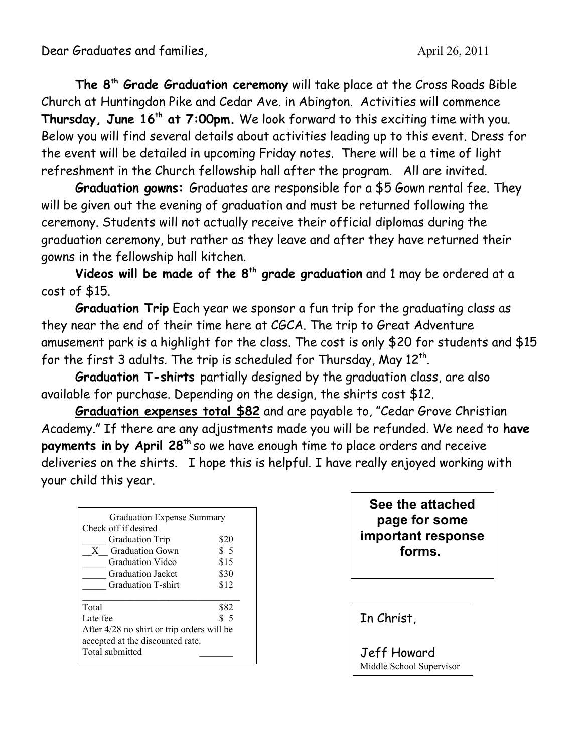Dear Graduates and families, and the state of the April 26, 2011

**The 8th Grade Graduation ceremony** will take place at the Cross Roads Bible Church at Huntingdon Pike and Cedar Ave. in Abington. Activities will commence **Thursday, June 16th at 7:00pm.** We look forward to this exciting time with you. Below you will find several details about activities leading up to this event. Dress for the event will be detailed in upcoming Friday notes. There will be a time of light refreshment in the Church fellowship hall after the program. All are invited.

**Graduation gowns:** Graduates are responsible for a \$5 Gown rental fee. They will be given out the evening of graduation and must be returned following the ceremony. Students will not actually receive their official diplomas during the graduation ceremony, but rather as they leave and after they have returned their gowns in the fellowship hall kitchen.

**Videos will be made of the 8th grade graduation** and 1 may be ordered at a cost of \$15.

**Graduation Trip** Each year we sponsor a fun trip for the graduating class as they near the end of their time here at CGCA. The trip to Great Adventure amusement park is a highlight for the class. The cost is only \$20 for students and \$15 for the first 3 adults. The trip is scheduled for Thursday, May  $12^{th}$ .

**Graduation T-shirts** partially designed by the graduation class, are also available for purchase. Depending on the design, the shirts cost \$12.

**Graduation expenses total \$82** and are payable to, "Cedar Grove Christian Academy." If there are any adjustments made you will be refunded. We need to **have payments in by April 28th** so we have enough time to place orders and receive deliveries on the shirts. I hope this is helpful. I have really enjoyed working with your child this year.

| <b>Graduation Expense Summary</b><br>Check off if desired<br><b>Graduation Trip</b><br><b>Graduation Gown</b><br>X<br>Graduation Video<br>Graduation Jacket<br>Graduation T-shirt | \$20<br>\$5<br>\$15 |
|-----------------------------------------------------------------------------------------------------------------------------------------------------------------------------------|---------------------|
|                                                                                                                                                                                   |                     |
|                                                                                                                                                                                   |                     |
|                                                                                                                                                                                   |                     |
|                                                                                                                                                                                   |                     |
|                                                                                                                                                                                   |                     |
|                                                                                                                                                                                   | \$30                |
|                                                                                                                                                                                   | \$12                |
| Total                                                                                                                                                                             | \$82                |
| Late fee                                                                                                                                                                          | \$5                 |
| After 4/28 no shirt or trip orders will be                                                                                                                                        |                     |
| accepted at the discounted rate.                                                                                                                                                  |                     |
| Total submitted                                                                                                                                                                   |                     |

**See the attached page for some important response forms.** 

In Christ,

Jeff Howard Middle School Supervisor